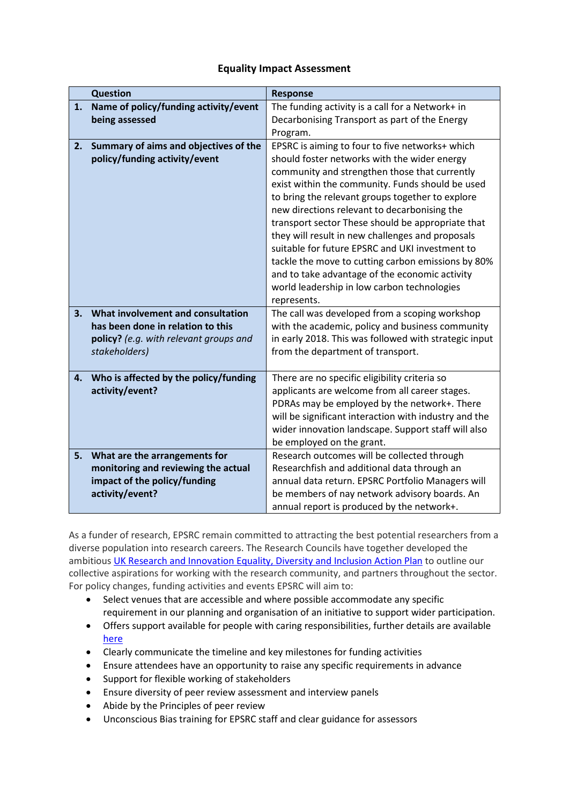## **Equality Impact Assessment**

|    | <b>Question</b>                        | <b>Response</b>                                       |
|----|----------------------------------------|-------------------------------------------------------|
| 1. | Name of policy/funding activity/event  | The funding activity is a call for a Network+ in      |
|    | being assessed                         | Decarbonising Transport as part of the Energy         |
|    |                                        | Program.                                              |
| 2. | Summary of aims and objectives of the  | EPSRC is aiming to four to five networks+ which       |
|    | policy/funding activity/event          | should foster networks with the wider energy          |
|    |                                        | community and strengthen those that currently         |
|    |                                        | exist within the community. Funds should be used      |
|    |                                        | to bring the relevant groups together to explore      |
|    |                                        | new directions relevant to decarbonising the          |
|    |                                        | transport sector These should be appropriate that     |
|    |                                        | they will result in new challenges and proposals      |
|    |                                        | suitable for future EPSRC and UKI investment to       |
|    |                                        | tackle the move to cutting carbon emissions by 80%    |
|    |                                        | and to take advantage of the economic activity        |
|    |                                        | world leadership in low carbon technologies           |
|    |                                        | represents.                                           |
| 3. | What involvement and consultation      | The call was developed from a scoping workshop        |
|    | has been done in relation to this      | with the academic, policy and business community      |
|    | policy? (e.g. with relevant groups and | in early 2018. This was followed with strategic input |
|    | stakeholders)                          | from the department of transport.                     |
|    |                                        |                                                       |
| 4. | Who is affected by the policy/funding  | There are no specific eligibility criteria so         |
|    | activity/event?                        | applicants are welcome from all career stages.        |
|    |                                        | PDRAs may be employed by the network+. There          |
|    |                                        | will be significant interaction with industry and the |
|    |                                        | wider innovation landscape. Support staff will also   |
|    |                                        | be employed on the grant.                             |
| 5. | What are the arrangements for          | Research outcomes will be collected through           |
|    | monitoring and reviewing the actual    | Researchfish and additional data through an           |
|    | impact of the policy/funding           | annual data return. EPSRC Portfolio Managers will     |
|    | activity/event?                        | be members of nay network advisory boards. An         |
|    |                                        | annual report is produced by the network+.            |

As a funder of research, EPSRC remain committed to attracting the best potential researchers from a diverse population into research careers. The Research Councils have together developed the ambitious UK Research and Innovation [Equality, Diversity and Inclusion Action Plan](https://epsrc.ukri.org/links/councils/uk-research-and-innovation-ukri/diversity-ukri/) to outline our collective aspirations for working with the research community, and partners throughout the sector. For policy changes, funding activities and events EPSRC will aim to:

- Select venues that are accessible and where possible accommodate any specific requirement in our planning and organisation of an initiative to support wider participation.
- Offers support available for people with caring responsibilities, further details are available [here](https://epsrc.ukri.org/funding/applicationprocess/basics/caringresponsibilities/)
- Clearly communicate the timeline and key milestones for funding activities
- Ensure attendees have an opportunity to raise any specific requirements in advance
- Support for flexible working of stakeholders
- Ensure diversity of peer review assessment and interview panels
- Abide by the Principles of peer review
- Unconscious Bias training for EPSRC staff and clear guidance for assessors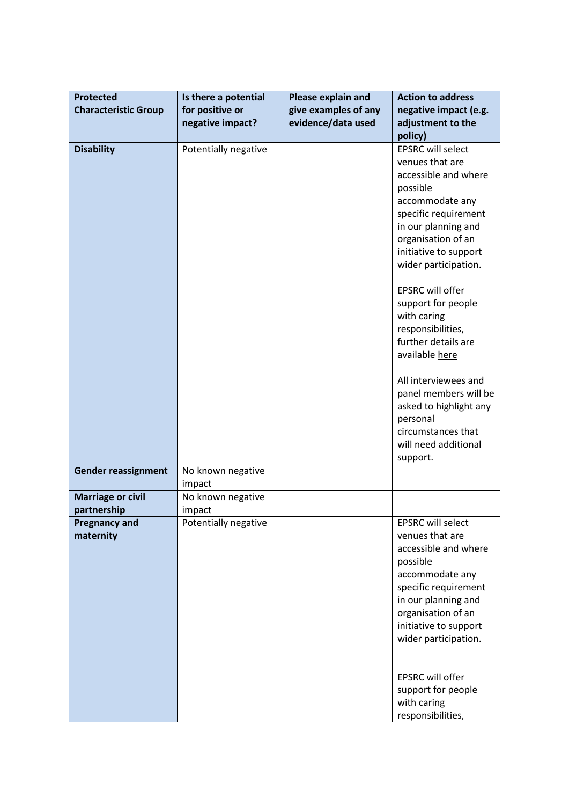| <b>Protected</b>            | Is there a potential | Please explain and   | <b>Action to address</b> |
|-----------------------------|----------------------|----------------------|--------------------------|
| <b>Characteristic Group</b> | for positive or      | give examples of any | negative impact (e.g.    |
|                             | negative impact?     | evidence/data used   | adjustment to the        |
|                             |                      |                      | policy)                  |
| <b>Disability</b>           | Potentially negative |                      | <b>EPSRC will select</b> |
|                             |                      |                      | venues that are          |
|                             |                      |                      | accessible and where     |
|                             |                      |                      | possible                 |
|                             |                      |                      |                          |
|                             |                      |                      | accommodate any          |
|                             |                      |                      | specific requirement     |
|                             |                      |                      | in our planning and      |
|                             |                      |                      | organisation of an       |
|                             |                      |                      | initiative to support    |
|                             |                      |                      | wider participation.     |
|                             |                      |                      | <b>EPSRC will offer</b>  |
|                             |                      |                      | support for people       |
|                             |                      |                      | with caring              |
|                             |                      |                      | responsibilities,        |
|                             |                      |                      | further details are      |
|                             |                      |                      | available here           |
|                             |                      |                      |                          |
|                             |                      |                      | All interviewees and     |
|                             |                      |                      | panel members will be    |
|                             |                      |                      | asked to highlight any   |
|                             |                      |                      | personal                 |
|                             |                      |                      | circumstances that       |
|                             |                      |                      | will need additional     |
|                             |                      |                      | support.                 |
| <b>Gender reassignment</b>  | No known negative    |                      |                          |
|                             | impact               |                      |                          |
| <b>Marriage or civil</b>    | No known negative    |                      |                          |
| partnership                 | impact               |                      |                          |
| <b>Pregnancy and</b>        | Potentially negative |                      | <b>EPSRC will select</b> |
| maternity                   |                      |                      | venues that are          |
|                             |                      |                      | accessible and where     |
|                             |                      |                      | possible                 |
|                             |                      |                      | accommodate any          |
|                             |                      |                      | specific requirement     |
|                             |                      |                      | in our planning and      |
|                             |                      |                      | organisation of an       |
|                             |                      |                      | initiative to support    |
|                             |                      |                      | wider participation.     |
|                             |                      |                      |                          |
|                             |                      |                      | <b>EPSRC will offer</b>  |
|                             |                      |                      | support for people       |
|                             |                      |                      | with caring              |
|                             |                      |                      | responsibilities,        |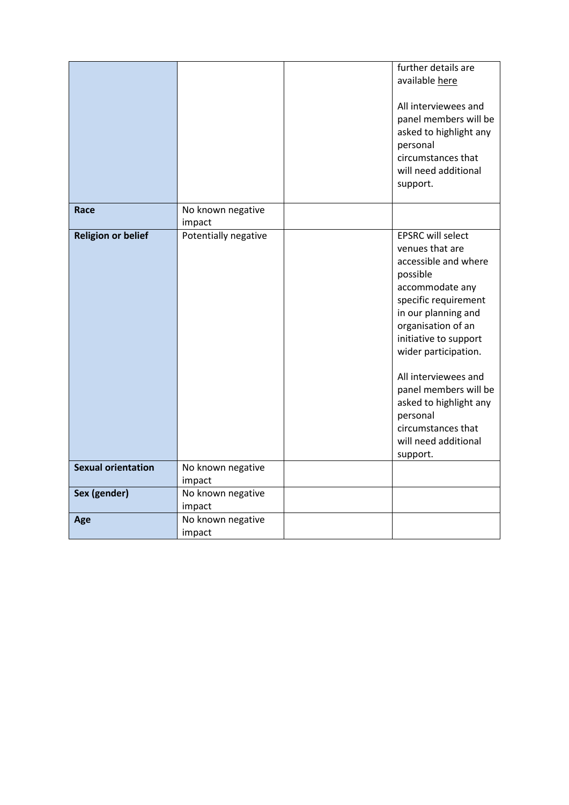|                           |                             | further details are<br>available here<br>All interviewees and<br>panel members will be<br>asked to highlight any<br>personal<br>circumstances that<br>will need additional<br>support.                                                                                                                                                                                    |
|---------------------------|-----------------------------|---------------------------------------------------------------------------------------------------------------------------------------------------------------------------------------------------------------------------------------------------------------------------------------------------------------------------------------------------------------------------|
| Race                      | No known negative<br>impact |                                                                                                                                                                                                                                                                                                                                                                           |
| <b>Religion or belief</b> | Potentially negative        | <b>EPSRC will select</b><br>venues that are<br>accessible and where<br>possible<br>accommodate any<br>specific requirement<br>in our planning and<br>organisation of an<br>initiative to support<br>wider participation.<br>All interviewees and<br>panel members will be<br>asked to highlight any<br>personal<br>circumstances that<br>will need additional<br>support. |
| <b>Sexual orientation</b> | No known negative<br>impact |                                                                                                                                                                                                                                                                                                                                                                           |
| Sex (gender)              | No known negative<br>impact |                                                                                                                                                                                                                                                                                                                                                                           |
| Age                       | No known negative<br>impact |                                                                                                                                                                                                                                                                                                                                                                           |